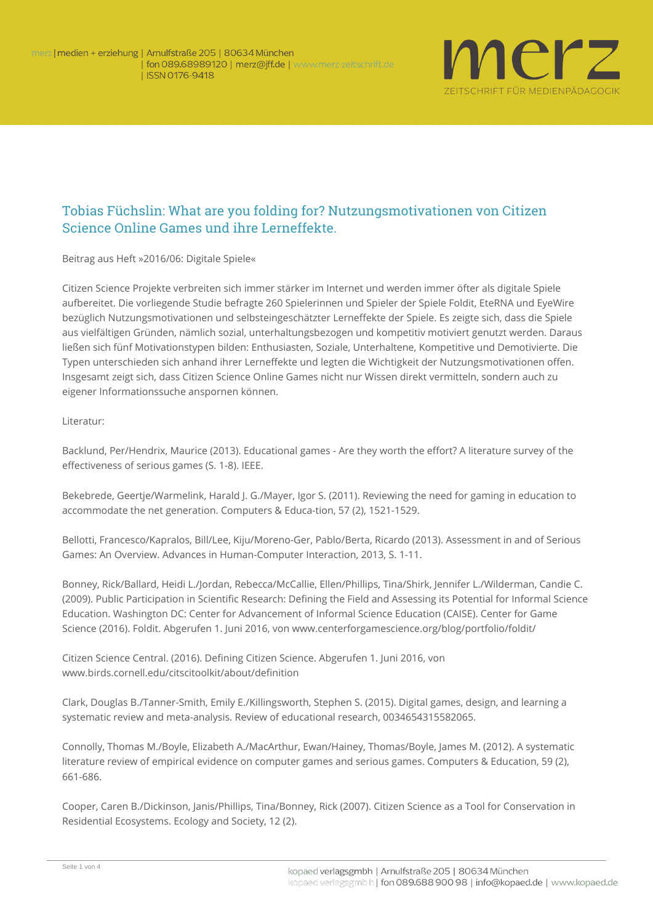

## Tobias Füchslin: What are you folding for? Nutzungsmotivationen von Citizen Science Online Games und ihre Lerneffekte.

**Beitrag aus Heft »2016/06: Digitale Spiele«**

Citizen Science Projekte verbreiten sich immer stärker im Internet und werden immer öfter als digitale Spiele aufbereitet. Die vorliegende Studie befragte 260 Spielerinnen und Spieler der Spiele Foldit, EteRNA und EyeWire bezüglich Nutzungsmotivationen und selbsteingeschätzter Lerneffekte der Spiele. Es zeigte sich, dass die Spiele aus vielfältigen Gründen, nämlich sozial, unterhaltungsbezogen und kompetitiv motiviert genutzt werden. Daraus ließen sich fünf Motivationstypen bilden: Enthusiasten, Soziale, Unterhaltene, Kompetitive und Demotivierte. Die Typen unterschieden sich anhand ihrer Lerneffekte und legten die Wichtigkeit der Nutzungsmotivationen offen. Insgesamt zeigt sich, dass Citizen Science Online Games nicht nur Wissen direkt vermitteln, sondern auch zu eigener Informationssuche anspornen können.

## **Literatur**:

Backlund, Per/Hendrix, Maurice (2013). Educational games - Are they worth the effort? A literature survey of the effectiveness of serious games (S. 1-8). IEEE.

Bekebrede, Geertje/Warmelink, Harald J. G./Mayer, Igor S. (2011). Reviewing the need for gaming in education to accommodate the net generation. Computers & Educa-tion, 57 (2), 1521-1529.

Bellotti, Francesco/Kapralos, Bill/Lee, Kiju/Moreno-Ger, Pablo/Berta, Ricardo (2013). Assessment in and of Serious Games: An Overview. Advances in Human-Computer Interaction, 2013, S. 1-11.

Bonney, Rick/Ballard, Heidi L./Jordan, Rebecca/McCallie, Ellen/Phillips, Tina/Shirk, Jennifer L./Wilderman, Candie C. (2009). Public Participation in Scientific Research: Defining the Field and Assessing its Potential for Informal Science Education. Washington DC: Center for Advancement of Informal Science Education (CAISE). Center for Game Science (2016). Foldit. Abgerufen 1. Juni 2016, von [www.centerforgamescience.org/blog/portfolio/foldit/](http://www.centerforgamescience.org/blog/portfolio/foldit/)

Citizen Science Central. (2016). Defining Citizen Science. Abgerufen 1. Juni 2016, von [www.birds.cornell.edu/citscitoolkit/about/definition](http://www.birds.cornell.edu/citscitoolkit/about/definition)

Clark, Douglas B./Tanner-Smith, Emily E./Killingsworth, Stephen S. (2015). Digital games, design, and learning a systematic review and meta-analysis. Review of educational research, 0034654315582065.

Connolly, Thomas M./Boyle, Elizabeth A./MacArthur, Ewan/Hainey, Thomas/Boyle, James M. (2012). A systematic literature review of empirical evidence on computer games and serious games. Computers & Education, 59 (2), 661-686.

Cooper, Caren B./Dickinson, Janis/Phillips, Tina/Bonney, Rick (2007). Citizen Science as a Tool for Conservation in Residential Ecosystems. Ecology and Society, 12 (2).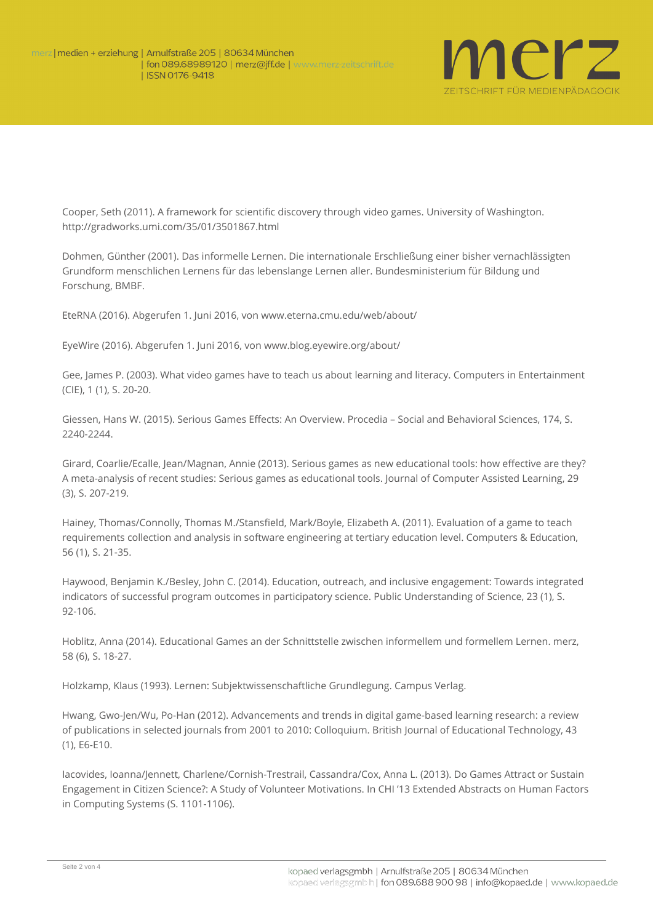

Cooper, Seth (2011). A framework for scientific discovery through video games. University of Washington. <http://gradworks.umi.com/35/01/3501867.html>

Dohmen, Günther (2001). Das informelle Lernen. Die internationale Erschließung einer bisher vernachlässigten Grundform menschlichen Lernens für das lebenslange Lernen aller. Bundesministerium für Bildung und Forschung, BMBF.

EteRNA (2016). Abgerufen 1. Juni 2016, von [www.eterna.cmu.edu/web/about/](http://www.eterna.cmu.edu/web/about/)

EyeWire (2016). Abgerufen 1. Juni 2016, von [www.blog.eyewire.org/about/](http://www.blog.eyewire.org/about/)

Gee, James P. (2003). What video games have to teach us about learning and literacy. Computers in Entertainment (CIE), 1 (1), S. 20-20.

Giessen, Hans W. (2015). Serious Games Effects: An Overview. Procedia – Social and Behavioral Sciences, 174, S. 2240-2244.

Girard, Coarlie/Ecalle, Jean/Magnan, Annie (2013). Serious games as new educational tools: how effective are they? A meta-analysis of recent studies: Serious games as educational tools. Journal of Computer Assisted Learning, 29 (3), S. 207-219.

Hainey, Thomas/Connolly, Thomas M./Stansfield, Mark/Boyle, Elizabeth A. (2011). Evaluation of a game to teach requirements collection and analysis in software engineering at tertiary education level. Computers & Education, 56 (1), S. 21-35.

Haywood, Benjamin K./Besley, John C. (2014). Education, outreach, and inclusive engagement: Towards integrated indicators of successful program outcomes in participatory science. Public Understanding of Science, 23 (1), S. 92-106.

Hoblitz, Anna (2014). Educational Games an der Schnittstelle zwischen informellem und formellem Lernen. merz, 58 (6), S. 18-27.

Holzkamp, Klaus (1993). Lernen: Subjektwissenschaftliche Grundlegung. Campus Verlag.

Hwang, Gwo-Jen/Wu, Po-Han (2012). Advancements and trends in digital game-based learning research: a review of publications in selected journals from 2001 to 2010: Colloquium. British Journal of Educational Technology, 43 (1), E6-E10.

Iacovides, Ioanna/Jennett, Charlene/Cornish-Trestrail, Cassandra/Cox, Anna L. (2013). Do Games Attract or Sustain Engagement in Citizen Science?: A Study of Volunteer Motivations. In CHI '13 Extended Abstracts on Human Factors in Computing Systems (S. 1101-1106).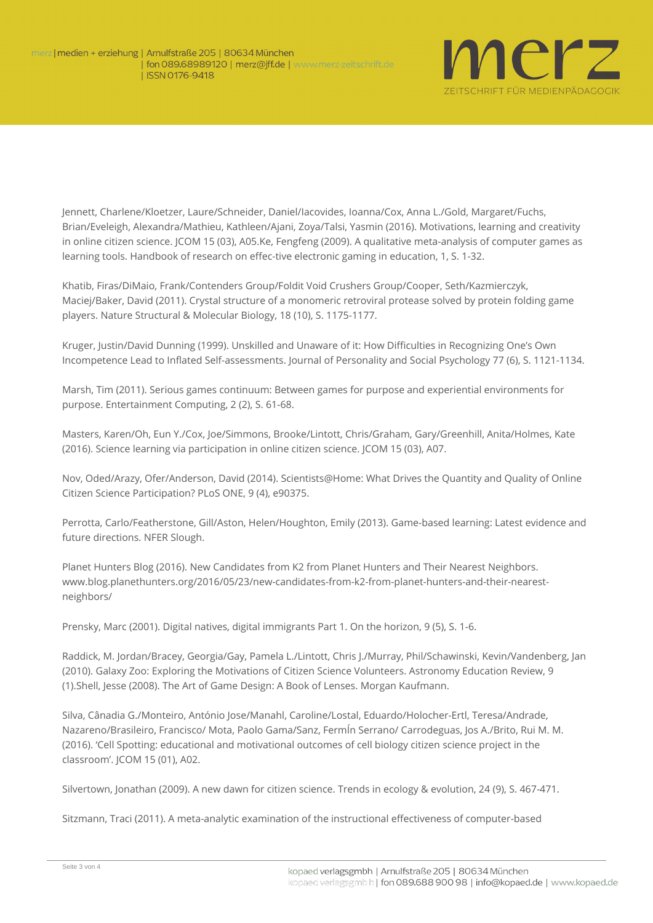

Jennett, Charlene/Kloetzer, Laure/Schneider, Daniel/Iacovides, Ioanna/Cox, Anna L./Gold, Margaret/Fuchs, Brian/Eveleigh, Alexandra/Mathieu, Kathleen/Ajani, Zoya/Talsi, Yasmin (2016). Motivations, learning and creativity in online citizen science. JCOM 15 (03), A05.Ke, Fengfeng (2009). A qualitative meta-analysis of computer games as learning tools. Handbook of research on effec-tive electronic gaming in education, 1, S. 1-32.

Khatib, Firas/DiMaio, Frank/Contenders Group/Foldit Void Crushers Group/Cooper, Seth/Kazmierczyk, Maciej/Baker, David (2011). Crystal structure of a monomeric retroviral protease solved by protein folding game players. Nature Structural & Molecular Biology, 18 (10), S. 1175-1177.

Kruger, Justin/David Dunning (1999). Unskilled and Unaware of it: How Difficulties in Recognizing One's Own Incompetence Lead to Inflated Self-assessments. Journal of Personality and Social Psychology 77 (6), S. 1121-1134.

Marsh, Tim (2011). Serious games continuum: Between games for purpose and experiential environments for purpose. Entertainment Computing, 2 (2), S. 61-68.

Masters, Karen/Oh, Eun Y./Cox, Joe/Simmons, Brooke/Lintott, Chris/Graham, Gary/Greenhill, Anita/Holmes, Kate (2016). Science learning via participation in online citizen science. JCOM 15 (03), A07.

Nov, Oded/Arazy, Ofer/Anderson, David (2014). Scientists@Home: What Drives the Quantity and Quality of Online Citizen Science Participation? PLoS ONE, 9 (4), e90375.

Perrotta, Carlo/Featherstone, Gill/Aston, Helen/Houghton, Emily (2013). Game-based learning: Latest evidence and future directions. NFER Slough.

Planet Hunters Blog (2016). New Candidates from K2 from Planet Hunters and Their Nearest Neighbors. [www.blog.planethunters.org/2016/05/23/new-candidates-from-k2-from-planet-hunters-and-their-nearest](http://www.blog.planethunters.org/2016/05/23/new-candidates-from-k2-from-planet-hunters-and-their-nearest-neighbors/)[neighbors/](http://www.blog.planethunters.org/2016/05/23/new-candidates-from-k2-from-planet-hunters-and-their-nearest-neighbors/)

Prensky, Marc (2001). Digital natives, digital immigrants Part 1. On the horizon, 9 (5), S. 1-6.

Raddick, M. Jordan/Bracey, Georgia/Gay, Pamela L./Lintott, Chris J./Murray, Phil/Schawinski, Kevin/Vandenberg, Jan (2010). Galaxy Zoo: Exploring the Motivations of Citizen Science Volunteers. Astronomy Education Review, 9 (1).Shell, Jesse (2008). The Art of Game Design: A Book of Lenses. Morgan Kaufmann.

Silva, Cânadia G./Monteiro, António Jose/Manahl, Caroline/Lostal, Eduardo/Holocher-Ertl, Teresa/Andrade, Nazareno/Brasileiro, Francisco/ Mota, Paolo Gama/Sanz, FermÍn Serrano/ Carrodeguas, Jos A./Brito, Rui M. M. (2016). 'Cell Spotting: educational and motivational outcomes of cell biology citizen science project in the classroom'. JCOM 15 (01), A02.

Silvertown, Jonathan (2009). A new dawn for citizen science. Trends in ecology & evolution, 24 (9), S. 467-471.

Sitzmann, Traci (2011). A meta-analytic examination of the instructional effectiveness of computer-based